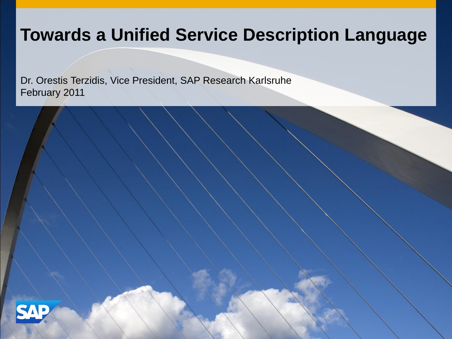## **Towards a Unified Service Description Language**

Dr. Orestis Terzidis, Vice President, SAP Research Karlsruhe February 2011

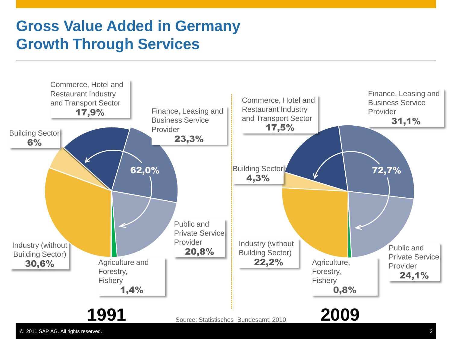## **Gross Value Added in Germany Growth Through Services**

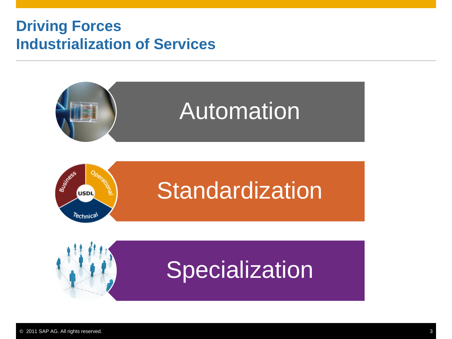#### **Driving Forces Industrialization of Services**





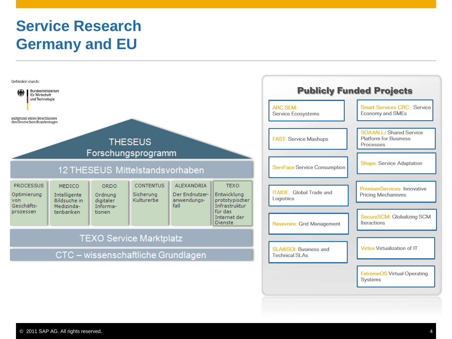## **Service Research Germany and EU**

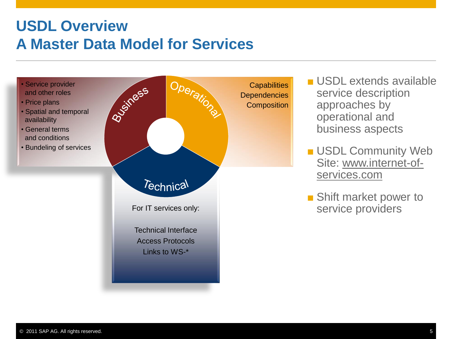#### **USDL Overview A Master Data Model for Services**

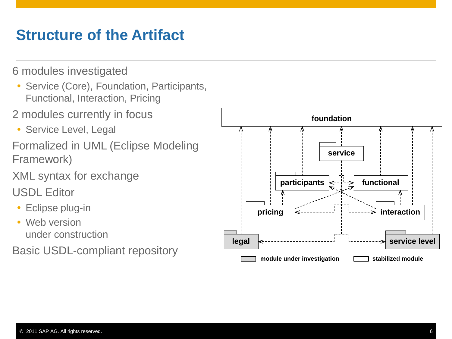#### **Structure of the Artifact**

6 modules investigated

- Service (Core), Foundation, Participants, Functional, Interaction, Pricing
- 2 modules currently in focus
- Service Level, Legal
- Formalized in UML (Eclipse Modeling Framework)
- XML syntax for exchange
- USDL Editor
- Eclipse plug-in
- Web version under construction
- Basic USDL -compliant repository

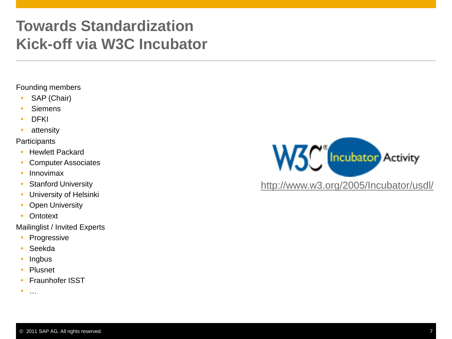#### **Towards Standardization Kick-off via W3C Incubator**

#### Founding members

- SAP (Chair)
- Siemens
- DFKI
- attensity

#### **Participants**

- Hewlett Packard
- Computer Associates
- Innovimax
- Stanford University
- University of Helsinki
- Open University
- Ontotext

Mailinglist / Invited Experts

- Progressive
- Seekda
- Ingbus
- Plusnet
- **•** Fraunhofer ISST

 $\bullet$ 



<http://www.w3.org/2005/Incubator/usdl/>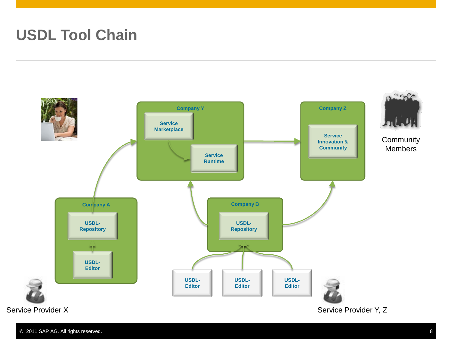## **USDL Tool Chain**